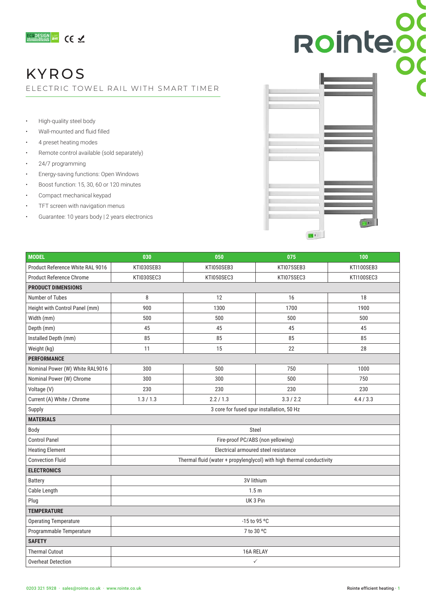

## KYROS

ELECTRIC TOWEL RAIL WITH SMART TIMER

- High-quality steel body
- Wall-mounted and fluid filled
- 4 preset heating modes
- Remote control available (sold separately)
- 24/7 programming
- Energy-saving functions: Open Windows
- Boost function: 15, 30, 60 or 120 minutes
- Compact mechanical keypad
- TFT screen with navigation menus
- Guarantee: 10 years body | 2 years electronics



| <b>MODEL</b>                     | 030                                                                   | 050        | 075        | 100        |  |  |  |
|----------------------------------|-----------------------------------------------------------------------|------------|------------|------------|--|--|--|
| Product Reference White RAL 9016 | KTI030SEB3                                                            | KTI050SEB3 | KTI075SEB3 | KTI100SEB3 |  |  |  |
| <b>Product Reference Chrome</b>  | KTI030SEC3                                                            | KTI050SEC3 | KTI075SEC3 | KTI100SEC3 |  |  |  |
| <b>PRODUCT DIMENSIONS</b>        |                                                                       |            |            |            |  |  |  |
| Number of Tubes                  | 8                                                                     | 12         | 16         | 18         |  |  |  |
| Height with Control Panel (mm)   | 900                                                                   | 1300       | 1700       | 1900       |  |  |  |
| Width (mm)                       | 500                                                                   | 500        | 500        | 500        |  |  |  |
| Depth (mm)                       | 45                                                                    | 45         | 45         | 45         |  |  |  |
| Installed Depth (mm)             | 85                                                                    | 85         | 85         | 85         |  |  |  |
| Weight (kg)                      | 11                                                                    | 15         | 22         | 28         |  |  |  |
| <b>PERFORMANCE</b>               |                                                                       |            |            |            |  |  |  |
| Nominal Power (W) White RAL9016  | 300                                                                   | 500        | 750        | 1000       |  |  |  |
| Nominal Power (W) Chrome         | 300                                                                   | 300        | 500        | 750        |  |  |  |
| Voltage (V)                      | 230                                                                   | 230        | 230        | 230        |  |  |  |
| Current (A) White / Chrome       | 1.3/1.3                                                               | 2.2/1.3    | 3.3 / 2.2  | 4.4 / 3.3  |  |  |  |
| Supply                           | 3 core for fused spur installation, 50 Hz                             |            |            |            |  |  |  |
| <b>MATERIALS</b>                 |                                                                       |            |            |            |  |  |  |
| Body                             | Steel                                                                 |            |            |            |  |  |  |
| <b>Control Panel</b>             | Fire-proof PC/ABS (non yellowing)                                     |            |            |            |  |  |  |
| <b>Heating Element</b>           | Electrical armoured steel resistance                                  |            |            |            |  |  |  |
| <b>Convection Fluid</b>          | Thermal fluid (water + propylenglycol) with high thermal conductivity |            |            |            |  |  |  |
| <b>ELECTRONICS</b>               |                                                                       |            |            |            |  |  |  |
| <b>Battery</b>                   | 3V lithium                                                            |            |            |            |  |  |  |
| Cable Length                     | 1.5 <sub>m</sub>                                                      |            |            |            |  |  |  |
| Plug                             | UK 3 Pin                                                              |            |            |            |  |  |  |
| <b>TEMPERATURE</b>               |                                                                       |            |            |            |  |  |  |
| <b>Operating Temperature</b>     | -15 to 95 °C                                                          |            |            |            |  |  |  |
| Programmable Temperature         | 7 to 30 °C                                                            |            |            |            |  |  |  |
| <b>SAFETY</b>                    |                                                                       |            |            |            |  |  |  |
| <b>Thermal Cutout</b>            | 16A RELAY                                                             |            |            |            |  |  |  |
| <b>Overheat Detection</b>        | $\checkmark$                                                          |            |            |            |  |  |  |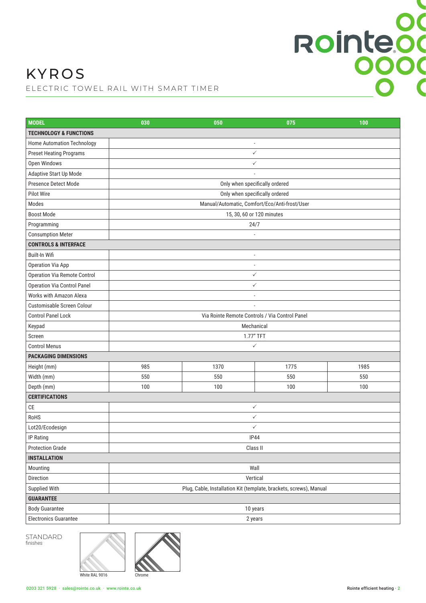# Rointeod

## KYROS

ELECTRIC TOWEL RAIL WITH SMART TIMER

| <b>MODEL</b>                       | 030                                                                | 050            | 075          | 100  |  |  |  |
|------------------------------------|--------------------------------------------------------------------|----------------|--------------|------|--|--|--|
| <b>TECHNOLOGY &amp; FUNCTIONS</b>  |                                                                    |                |              |      |  |  |  |
| Home Automation Technology         |                                                                    | $\overline{a}$ |              |      |  |  |  |
| <b>Preset Heating Programs</b>     |                                                                    |                | $\checkmark$ |      |  |  |  |
| Open Windows                       | $\checkmark$                                                       |                |              |      |  |  |  |
| Adaptive Start Up Mode             |                                                                    |                |              |      |  |  |  |
| Presence Detect Mode               | Only when specifically ordered                                     |                |              |      |  |  |  |
| Pilot Wire                         | Only when specifically ordered                                     |                |              |      |  |  |  |
| Modes                              | Manual/Automatic, Comfort/Eco/Anti-frost/User                      |                |              |      |  |  |  |
| <b>Boost Mode</b>                  | 15, 30, 60 or 120 minutes                                          |                |              |      |  |  |  |
| Programming                        | 24/7                                                               |                |              |      |  |  |  |
| <b>Consumption Meter</b>           |                                                                    |                |              |      |  |  |  |
| <b>CONTROLS &amp; INTERFACE</b>    |                                                                    |                |              |      |  |  |  |
| Built-In Wifi                      | $\overline{a}$                                                     |                |              |      |  |  |  |
| Operation Via App                  | $\overline{a}$                                                     |                |              |      |  |  |  |
| Operation Via Remote Control       | $\checkmark$                                                       |                |              |      |  |  |  |
| <b>Operation Via Control Panel</b> | $\checkmark$                                                       |                |              |      |  |  |  |
| Works with Amazon Alexa            | $\overline{a}$                                                     |                |              |      |  |  |  |
| Customisable Screen Colour         |                                                                    |                |              |      |  |  |  |
| <b>Control Panel Lock</b>          | Via Rointe Remote Controls / Via Control Panel                     |                |              |      |  |  |  |
| Keypad                             | Mechanical                                                         |                |              |      |  |  |  |
| Screen                             | 1.77" TFT                                                          |                |              |      |  |  |  |
| <b>Control Menus</b>               | $\checkmark$                                                       |                |              |      |  |  |  |
| <b>PACKAGING DIMENSIONS</b>        |                                                                    |                |              |      |  |  |  |
| Height (mm)                        | 985                                                                | 1370           | 1775         | 1985 |  |  |  |
| Width (mm)                         | 550                                                                | 550            | 550          | 550  |  |  |  |
| Depth (mm)                         | 100                                                                | 100            | 100          | 100  |  |  |  |
| <b>CERTIFICATIONS</b>              |                                                                    |                |              |      |  |  |  |
| CE                                 | $\checkmark$                                                       |                |              |      |  |  |  |
| RoHS                               | $\checkmark$                                                       |                |              |      |  |  |  |
| Lot20/Ecodesign                    | $\checkmark$                                                       |                |              |      |  |  |  |
| IP Rating                          | <b>IP44</b>                                                        |                |              |      |  |  |  |
| <b>Protection Grade</b>            | Class II                                                           |                |              |      |  |  |  |
| <b>INSTALLATION</b>                |                                                                    |                |              |      |  |  |  |
| Mounting                           | Wall                                                               |                |              |      |  |  |  |
| Direction                          | Vertical                                                           |                |              |      |  |  |  |
| Supplied With                      | Plug, Cable, Installation Kit (template, brackets, screws), Manual |                |              |      |  |  |  |
| <b>GUARANTEE</b>                   |                                                                    |                |              |      |  |  |  |
| <b>Body Guarantee</b>              | 10 years                                                           |                |              |      |  |  |  |
| <b>Electronics Guarantee</b>       | 2 years                                                            |                |              |      |  |  |  |

STANDARD finishes